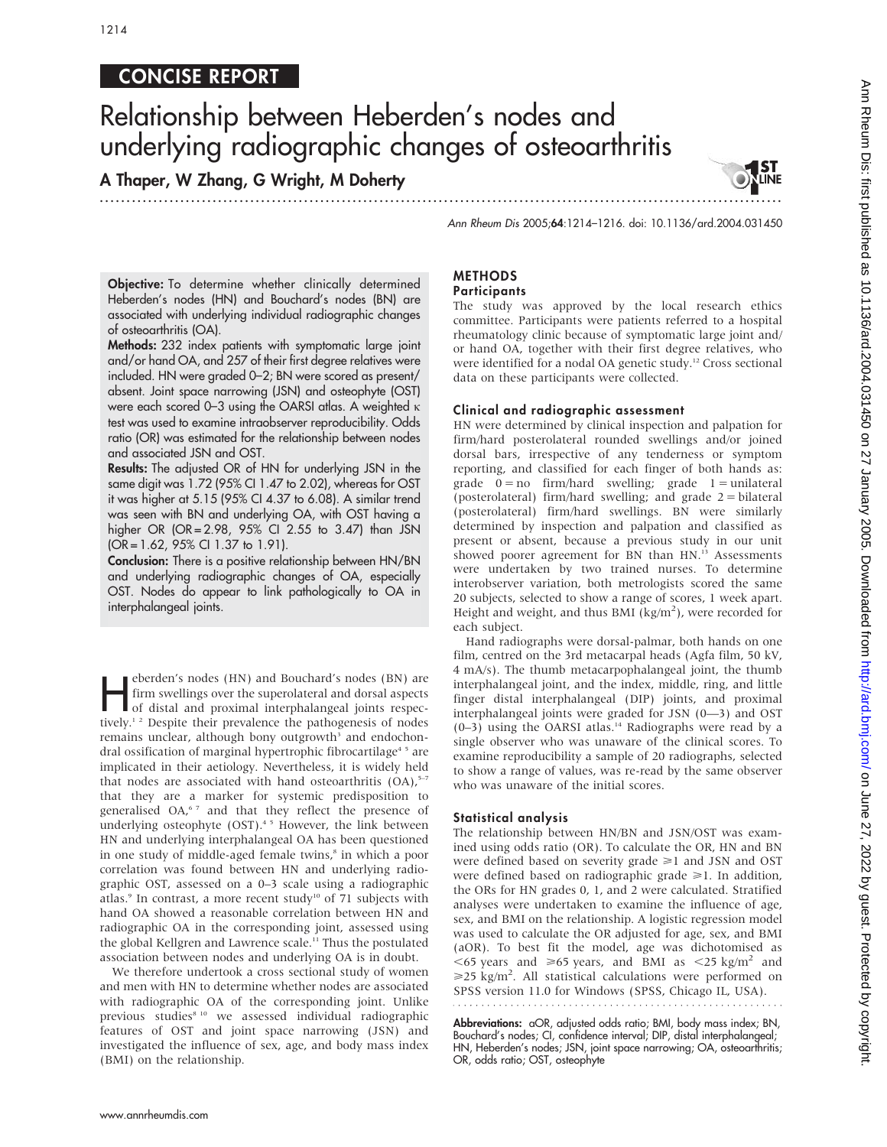# CONCISE REPORT

# Relationship between Heberden's nodes and underlying radiographic changes of osteoarthritis

...............................................................................................................................

A Thaper, W Zhang, G Wright, M Doherty

Ann Rheum Dis 2005;64:1214–1216. doi: 10.1136/ard.2004.031450

Objective: To determine whether clinically determined Heberden's nodes (HN) and Bouchard's nodes (BN) are associated with underlying individual radiographic changes of osteoarthritis (OA).

Methods: 232 index patients with symptomatic large joint and/or hand OA, and 257 of their first degree relatives were included. HN were graded 0–2; BN were scored as present/ absent. Joint space narrowing (JSN) and osteophyte (OST) were each scored 0–3 using the OARSI atlas. A weighted  $\kappa$ test was used to examine intraobserver reproducibility. Odds ratio (OR) was estimated for the relationship between nodes and associated JSN and OST.

Results: The adjusted OR of HN for underlying JSN in the same digit was 1.72 (95% CI 1.47 to 2.02), whereas for OST it was higher at 5.15 (95% CI 4.37 to 6.08). A similar trend was seen with BN and underlying OA, with OST having a higher OR (OR = 2.98, 95% CI 2.55 to 3.47) than JSN (OR = 1.62, 95% CI 1.37 to 1.91).

Conclusion: There is a positive relationship between HN/BN and underlying radiographic changes of OA, especially OST. Nodes do appear to link pathologically to OA in interphalangeal joints.

eberden's nodes (HN) and Bouchard's nodes (BN) are<br>firm swellings over the superolateral and dorsal aspects<br>of distal and proximal interphalangeal joints respec-<br>tively 12 Decepts their provelance the patheometic of nodes firm swellings over the superolateral and dorsal aspects tively.<sup>12</sup> Despite their prevalence the pathogenesis of nodes remains unclear, although bony outgrowth<sup>3</sup> and endochondral ossification of marginal hypertrophic fibrocartilage<sup>45</sup> are implicated in their aetiology. Nevertheless, it is widely held that nodes are associated with hand osteoarthritis  $(OA)$ ,<sup>5-7</sup> that they are a marker for systemic predisposition to generalised OA,<sup>67</sup> and that they reflect the presence of underlying osteophyte (OST).<sup>45</sup> However, the link between HN and underlying interphalangeal OA has been questioned in one study of middle-aged female twins,<sup>8</sup> in which a poor correlation was found between HN and underlying radiographic OST, assessed on a 0–3 scale using a radiographic atlas. $9$  In contrast, a more recent study<sup>10</sup> of 71 subjects with hand OA showed a reasonable correlation between HN and radiographic OA in the corresponding joint, assessed using the global Kellgren and Lawrence scale.<sup>11</sup> Thus the postulated association between nodes and underlying OA is in doubt.

We therefore undertook a cross sectional study of women and men with HN to determine whether nodes are associated with radiographic OA of the corresponding joint. Unlike previous studies<sup>8 10</sup> we assessed individual radiographic features of OST and joint space narrowing (JSN) and investigated the influence of sex, age, and body mass index (BMI) on the relationship.

#### METHODS **Participants**

The study was approved by the local research ethics committee. Participants were patients referred to a hospital rheumatology clinic because of symptomatic large joint and/ or hand OA, together with their first degree relatives, who were identified for a nodal OA genetic study.<sup>12</sup> Cross sectional data on these participants were collected.

## Clinical and radiographic assessment

HN were determined by clinical inspection and palpation for firm/hard posterolateral rounded swellings and/or joined dorsal bars, irrespective of any tenderness or symptom reporting, and classified for each finger of both hands as: grade  $0 = no$  firm/hard swelling; grade  $1 = unilateral$ (posterolateral) firm/hard swelling; and grade 2 = bilateral (posterolateral) firm/hard swellings. BN were similarly determined by inspection and palpation and classified as present or absent, because a previous study in our unit showed poorer agreement for BN than HN.<sup>13</sup> Assessments were undertaken by two trained nurses. To determine interobserver variation, both metrologists scored the same 20 subjects, selected to show a range of scores, 1 week apart. Height and weight, and thus BMI (kg/m<sup>2</sup>), were recorded for each subject.

Hand radiographs were dorsal-palmar, both hands on one film, centred on the 3rd metacarpal heads (Agfa film, 50 kV, 4 mA/s). The thumb metacarpophalangeal joint, the thumb interphalangeal joint, and the index, middle, ring, and little finger distal interphalangeal (DIP) joints, and proximal interphalangeal joints were graded for JSN (0—3) and OST (0-3) using the OARSI atlas.<sup>14</sup> Radiographs were read by a single observer who was unaware of the clinical scores. To examine reproducibility a sample of 20 radiographs, selected to show a range of values, was re-read by the same observer who was unaware of the initial scores.

#### Statistical analysis

The relationship between HN/BN and JSN/OST was examined using odds ratio (OR). To calculate the OR, HN and BN were defined based on severity grade  $\geq 1$  and JSN and OST were defined based on radiographic grade  $\geq 1$ . In addition, the ORs for HN grades 0, 1, and 2 were calculated. Stratified analyses were undertaken to examine the influence of age, sex, and BMI on the relationship. A logistic regression model was used to calculate the OR adjusted for age, sex, and BMI (aOR). To best fit the model, age was dichotomised as  $<$  65 years and  $\ge$  65 years, and BMI as  $<$  25 kg/m<sup>2</sup> and  $\geq$ 25 kg/m<sup>2</sup>. All statistical calculations were performed on SPSS version 11.0 for Windows (SPSS, Chicago IL, USA).

Abbreviations: aOR, adjusted odds ratio; BMI, body mass index; BN, Bouchard's nodes; CI, confidence interval; DIP, distal interphalangeal; HN, Heberden's nodes; JSN, joint space narrowing; OA, osteoarthritis; OR, odds ratio; OST, osteophyte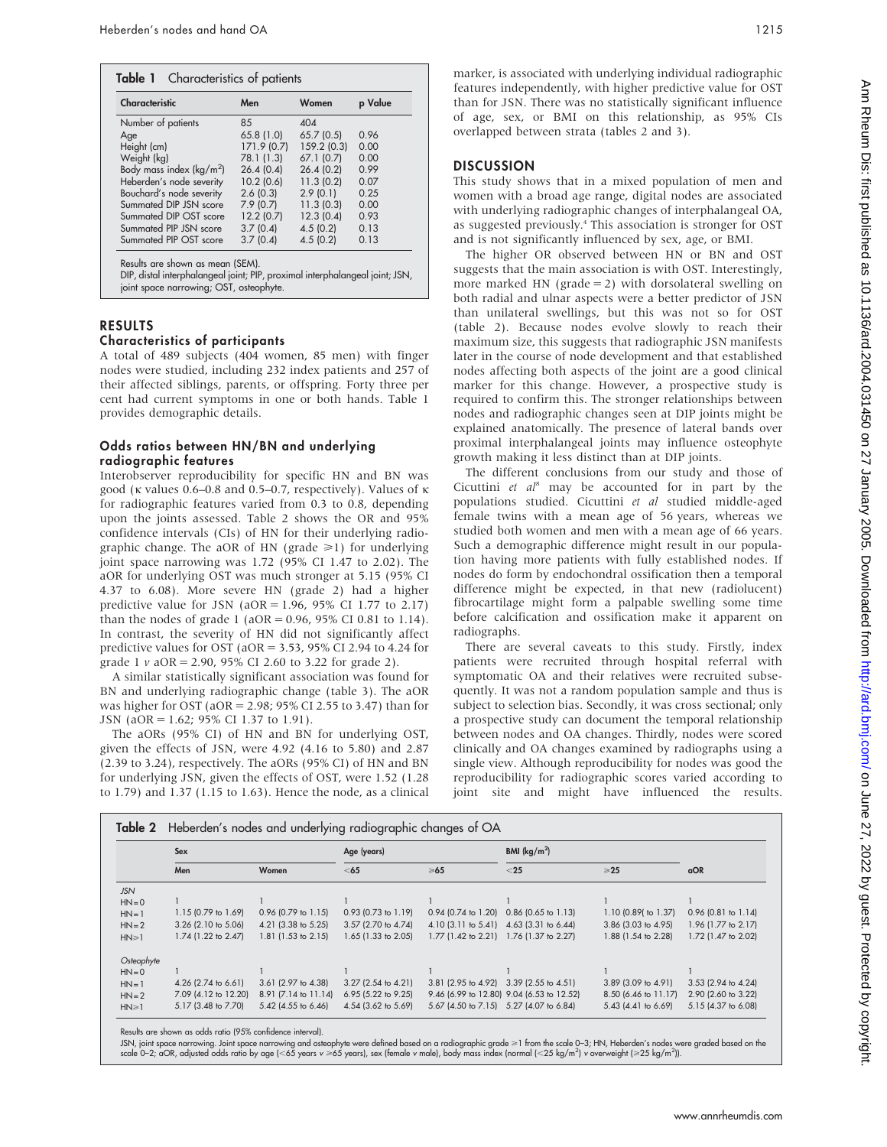| Characteristic                                                                                                                                              | Men        | Women      |      |
|-------------------------------------------------------------------------------------------------------------------------------------------------------------|------------|------------|------|
| Number of patients                                                                                                                                          | 85         | 404        |      |
| Age                                                                                                                                                         | 65.8(1.0)  | 65.7(0.5)  | 0.96 |
| Height (cm)                                                                                                                                                 | 171.9(0.7) | 159.2(0.3) | 0.00 |
| Weight (kg)                                                                                                                                                 | 78.1 (1.3) | 67.1(0.7)  | 0.00 |
| Body mass index ( $\text{kg/m}^2$ )                                                                                                                         | 26.4(0.4)  | 26.4(0.2)  | 0.99 |
| Heberden's node severity                                                                                                                                    | 10.2(0.6)  | 11.3(0.2)  | 0.07 |
| Bouchard's node severity                                                                                                                                    | 2.6(0.3)   | 2.9(0.1)   | 0.25 |
| Summated DIP JSN score                                                                                                                                      | 7.9(0.7)   | 11.3(0.3)  | 0.00 |
| Summated DIP OST score                                                                                                                                      | 12.2(0.7)  | 12.3(0.4)  | 0.93 |
| Summated PIP JSN score                                                                                                                                      | 3.7(0.4)   | 4.5(0.2)   | 0.13 |
| Summated PIP OST score                                                                                                                                      | 3.7(0.4)   | 4.5(0.2)   | 0.13 |
| Results are shown as mean (SEM).<br>DIP, distal interphalangeal joint; PIP, proximal interphalangeal joint; JSN,<br>joint space narrowing; OST, osteophyte. |            |            |      |

# RESULTS

## Characteristics of participants

A total of 489 subjects (404 women, 85 men) with finger nodes were studied, including 232 index patients and 257 of their affected siblings, parents, or offspring. Forty three per cent had current symptoms in one or both hands. Table 1 provides demographic details.

#### Odds ratios between HN/BN and underlying radiographic features

Interobserver reproducibility for specific HN and BN was good ( $\kappa$  values 0.6–0.8 and 0.5–0.7, respectively). Values of  $\kappa$ for radiographic features varied from 0.3 to 0.8, depending upon the joints assessed. Table 2 shows the OR and 95% confidence intervals (CIs) of HN for their underlying radiographic change. The aOR of HN (grade  $\geq 1$ ) for underlying joint space narrowing was 1.72 (95% CI 1.47 to 2.02). The aOR for underlying OST was much stronger at 5.15 (95% CI 4.37 to 6.08). More severe HN (grade 2) had a higher predictive value for JSN (aOR = 1.96, 95% CI 1.77 to 2.17) than the nodes of grade 1 ( $aOR = 0.96$ ,  $95\%$  CI 0.81 to 1.14). In contrast, the severity of HN did not significantly affect predictive values for OST ( $aOR = 3.53$ , 95% CI 2.94 to 4.24 for grade 1  $\nu$  aOR = 2.90, 95% CI 2.60 to 3.22 for grade 2).

A similar statistically significant association was found for BN and underlying radiographic change (table 3). The aOR was higher for OST (aOR = 2.98; 95% CI 2.55 to 3.47) than for JSN (aOR = 1.62; 95% CI 1.37 to 1.91).

The aORs (95% CI) of HN and BN for underlying OST, given the effects of JSN, were 4.92 (4.16 to 5.80) and 2.87 (2.39 to 3.24), respectively. The aORs (95% CI) of HN and BN for underlying JSN, given the effects of OST, were 1.52 (1.28 to 1.79) and 1.37 (1.15 to 1.63). Hence the node, as a clinical marker, is associated with underlying individual radiographic features independently, with higher predictive value for OST than for JSN. There was no statistically significant influence of age, sex, or BMI on this relationship, as 95% CIs overlapped between strata (tables 2 and 3).

# **DISCUSSION**

This study shows that in a mixed population of men and women with a broad age range, digital nodes are associated with underlying radiographic changes of interphalangeal OA, as suggested previously.4 This association is stronger for OST and is not significantly influenced by sex, age, or BMI.

The higher OR observed between HN or BN and OST suggests that the main association is with OST. Interestingly, more marked HN ( $grade = 2$ ) with dorsolateral swelling on both radial and ulnar aspects were a better predictor of JSN than unilateral swellings, but this was not so for OST (table 2). Because nodes evolve slowly to reach their maximum size, this suggests that radiographic JSN manifests later in the course of node development and that established nodes affecting both aspects of the joint are a good clinical marker for this change. However, a prospective study is required to confirm this. The stronger relationships between nodes and radiographic changes seen at DIP joints might be explained anatomically. The presence of lateral bands over proximal interphalangeal joints may influence osteophyte growth making it less distinct than at DIP joints.

The different conclusions from our study and those of Cicuttini et  $aI^8$  may be accounted for in part by the populations studied. Cicuttini et al studied middle-aged female twins with a mean age of 56 years, whereas we studied both women and men with a mean age of 66 years. Such a demographic difference might result in our population having more patients with fully established nodes. If nodes do form by endochondral ossification then a temporal difference might be expected, in that new (radiolucent) fibrocartilage might form a palpable swelling some time before calcification and ossification make it apparent on radiographs.

There are several caveats to this study. Firstly, index patients were recruited through hospital referral with symptomatic OA and their relatives were recruited subsequently. It was not a random population sample and thus is subject to selection bias. Secondly, it was cross sectional; only a prospective study can document the temporal relationship between nodes and OA changes. Thirdly, nodes were scored clinically and OA changes examined by radiographs using a single view. Although reproducibility for nodes was good the reproducibility for radiographic scores varied according to joint site and might have influenced the results.

|             | Sex                            |                       | Age (years)           |                                         | BMI $(kq/m^2)$                            |                       |                       |
|-------------|--------------------------------|-----------------------|-----------------------|-----------------------------------------|-------------------------------------------|-----------------------|-----------------------|
|             | Men                            | Women                 | $<$ 65                | $\geq 65$                               | $<$ 25                                    | $\geq 25$             | <b>aOR</b>            |
| <b>JSN</b>  |                                |                       |                       |                                         |                                           |                       |                       |
| $HN = 0$    |                                |                       |                       |                                         |                                           |                       |                       |
| $HN = 1$    | $1.15$ (0.79 to 1.69)          | $0.96$ (0.79 to 1.15) | $0.93$ (0.73 to 1.19) | $0.94$ (0.74 to 1.20)                   | $0.86$ (0.65 to 1.13)                     | 1.10 (0.89( to 1.37)  | $0.96$ (0.81 to 1.14) |
| $HN = 2$    | $3.26$ (2.10 to 5.06)          | 4.21 (3.38 to 5.25)   | 3.57 (2.70 to 4.74)   | 4.10 (3.11 to 5.41) 4.63 (3.31 to 6.44) |                                           | 3.86 (3.03 to 4.95)   | 1.96 (1.77 to 2.17)   |
| $HN \geq 1$ | $1.74$ (1.22 to 2.47)          | 1.81 (1.53 to 2.15)   | 1.65 (1.33 to 2.05)   | $1.77$ (1.42 to 2.21)                   | 1.76 (1.37 to 2.27)                       | 1.88 (1.54 to 2.28)   | 1.72 (1.47 to 2.02)   |
| Osteophyte  |                                |                       |                       |                                         |                                           |                       |                       |
| $HN = 0$    |                                |                       |                       |                                         |                                           |                       |                       |
| $HN = 1$    | 4.26 $(2.74 \text{ to } 6.61)$ | 3.61 (2.97 to 4.38)   | $3.27$ (2.54 to 4.21) |                                         | 3.81 (2.95 to 4.92) 3.39 (2.55 to 4.51)   | 3.89 (3.09 to 4.91)   | $3.53$ (2.94 to 4.24) |
| $HN = 2$    | 7.09 (4.12 to 12.20)           | 8.91 (7.14 to 11.14)  | $6.95$ (5.22 to 9.25) |                                         | 9.46 (6.99 to 12.80) 9.04 (6.53 to 12.52) | 8.50 (6.46 to 11.17)  | 2.90 (2.60 to 3.22)   |
| $HN \geq 1$ | 5.17 (3.48 to 7.70)            | 5.42 (4.55 to 6.46)   | 4.54 (3.62 to 5.69)   |                                         | 5.67 (4.50 to 7.15) 5.27 (4.07 to 6.84)   | $5.43$ (4.41 to 6.69) | 5.15 (4.37 to 6.08)   |

Results are shown as odds ratio (95% confidence interval).

JSN, joint space narrowing. Joint space narrowing and osteophyte were defined based on a radiographic grade >1 from the scale 0–3; HN, Heberden's nodes were graded based on the scale 0−2; aOR, adjusted odds ratio by age (<65 years v ≥65 years), sex (female v male), body mass index (normal (<25 kg/m<sup>2</sup>) v overweight (≥25 kg/m<sup>2</sup>)).